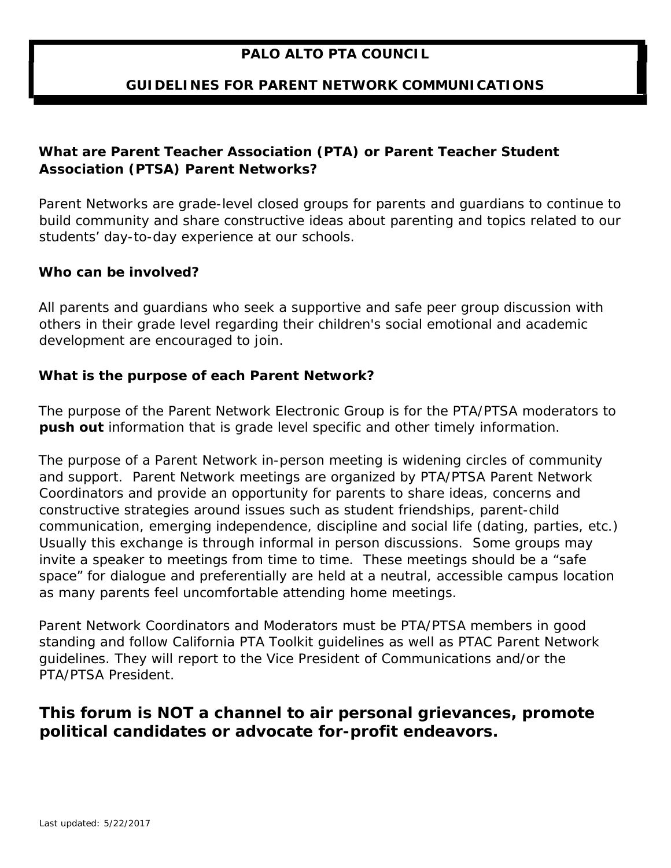## **PALO ALTO PTA COUNCIL**

### **GUIDELINES FOR PARENT NETWORK COMMUNICATIONS**

## *What are Parent Teacher Association (PTA) or Parent Teacher Student Association (PTSA) Parent Networks?*

Parent Networks are grade-level closed groups for parents and guardians to continue to build community and share constructive ideas about parenting and topics related to our students' day-to-day experience at our schools.

#### *Who can be involved?*

All parents and guardians who seek a supportive and safe peer group discussion with others in their grade level regarding their children's social emotional and academic development are encouraged to join.

#### *What is the purpose of each Parent Network?*

The purpose of the Parent Network Electronic Group is for the PTA/PTSA moderators to **push out** information that is grade level specific and other timely information.

The purpose of a Parent Network in-person meeting is widening circles of community and support. Parent Network meetings are organized by PTA/PTSA Parent Network Coordinators and provide an opportunity for parents to share ideas, concerns and constructive strategies around issues such as student friendships, parent-child communication, emerging independence, discipline and social life (dating, parties, etc.) Usually this exchange is through informal in person discussions. Some groups may invite a speaker to meetings from time to time. These meetings should be a "safe space" for dialogue and preferentially are held at a neutral, accessible campus location as many parents feel uncomfortable attending home meetings.

Parent Network Coordinators and Moderators must be PTA/PTSA members in good standing and follow California PTA Toolkit guidelines as well as PTAC Parent Network guidelines. They will report to the Vice President of Communications and/or the PTA/PTSA President.

## *This forum is NOT a channel to air personal grievances, promote political candidates or advocate for-profit endeavors.*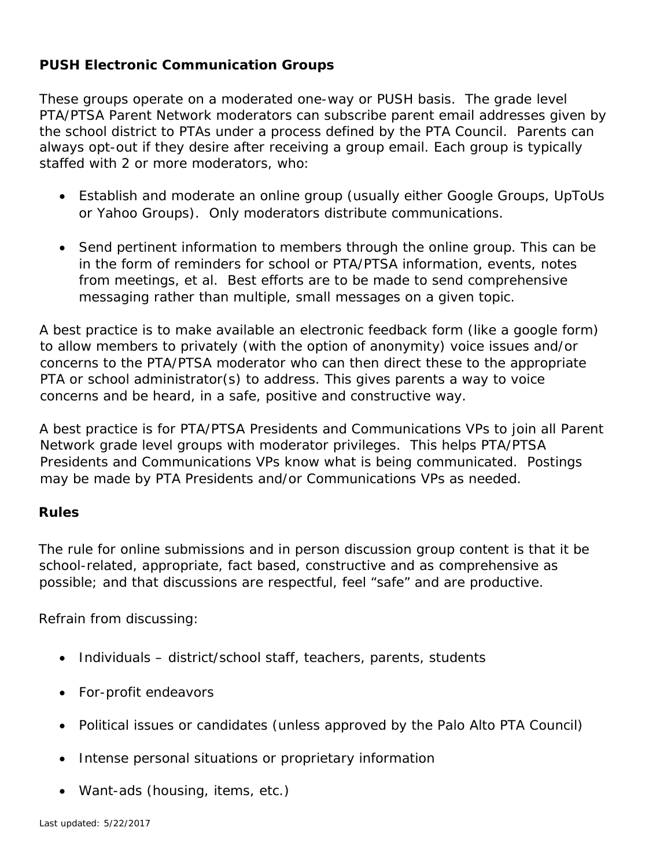## **PUSH Electronic Communication Groups**

These groups operate on a moderated one-way or PUSH basis. The grade level PTA/PTSA Parent Network moderators can subscribe parent email addresses given by the school district to PTAs under a process defined by the PTA Council. Parents can always opt-out if they desire after receiving a group email. Each group is typically staffed with 2 or more moderators, who:

- Establish and moderate an online group (usually either Google Groups, UpToUs or Yahoo Groups). Only moderators distribute communications.
- Send pertinent information to members through the online group. This can be in the form of reminders for school or PTA/PTSA information, events, notes from meetings, et al. Best efforts are to be made to send comprehensive messaging rather than multiple, small messages on a given topic.

A best practice is to make available an electronic feedback form (like a google form) to allow members to privately (with the option of anonymity) voice issues and/or concerns to the PTA/PTSA moderator who can then direct these to the appropriate PTA or school administrator(s) to address. This gives parents a way to voice concerns and be heard, in a safe, positive and constructive way.

A best practice is for PTA/PTSA Presidents and Communications VPs to join all Parent Network grade level groups with moderator privileges. This helps PTA/PTSA Presidents and Communications VPs know what is being communicated. Postings may be made by PTA Presidents and/or Communications VPs as needed.

#### **Rules**

The rule for online submissions and in person discussion group content is that it be school-related, appropriate, fact based, constructive and as comprehensive as possible; and that discussions are respectful, feel "safe" and are productive.

Refrain from discussing:

- Individuals district/school staff, teachers, parents, students
- For-profit endeavors
- Political issues or candidates (unless approved by the Palo Alto PTA Council)
- Intense personal situations or proprietary information
- Want-ads (housing, items, etc.)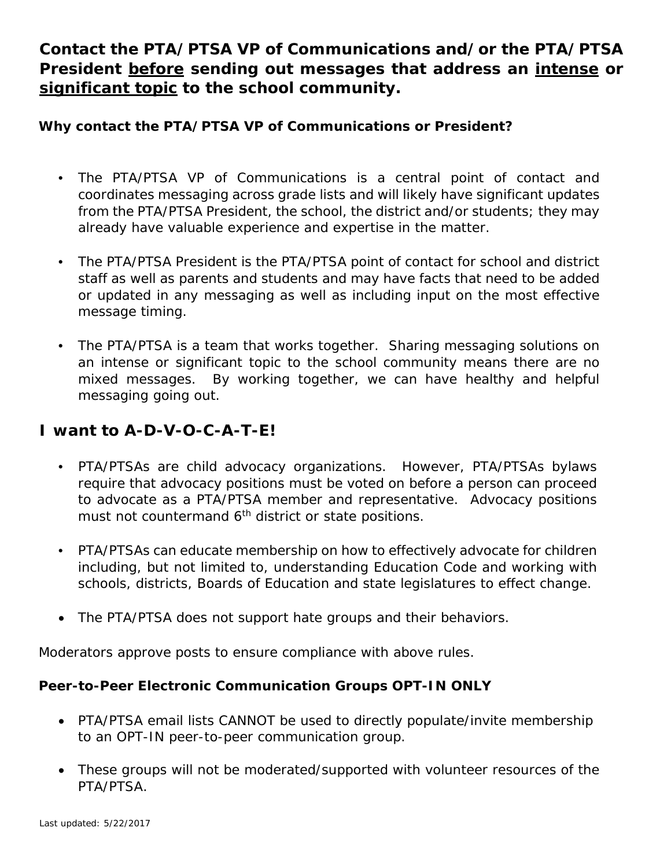# *Contact the PTA/PTSA VP of Communications and/or the PTA/PTSA President before sending out messages that address an intense or significant topic to the school community.*

## **Why contact the PTA/PTSA VP of Communications or President?**

- The PTA/PTSA VP of Communications is a central point of contact and coordinates messaging across grade lists and will likely have significant updates from the PTA/PTSA President, the school, the district and/or students; they may already have valuable experience and expertise in the matter.
- The PTA/PTSA President is the PTA/PTSA point of contact for school and district staff as well as parents and students and may have facts that need to be added or updated in any messaging as well as including input on the most effective message timing.
- The PTA/PTSA is a team that works together. Sharing messaging solutions on an intense or significant topic to the school community means there are no mixed messages. By working together, we can have healthy and helpful messaging going out.

## **I want to A-D-V-O-C-A-T-E!**

- PTA/PTSAs are child advocacy organizations. However, PTA/PTSAs bylaws require that advocacy positions must be voted on before a person can proceed to advocate as a PTA/PTSA member and representative. Advocacy positions must not countermand  $6<sup>th</sup>$  district or state positions.
- PTA/PTSAs can educate membership on how to effectively advocate for children including, but not limited to, understanding Education Code and working with schools, districts, Boards of Education and state legislatures to effect change.
- The PTA/PTSA does not support hate groups and their behaviors.

Moderators approve posts to ensure compliance with above rules.

## **Peer-to-Peer Electronic Communication Groups OPT-IN ONLY**

- PTA/PTSA email lists CANNOT be used to directly populate/invite membership to an OPT-IN peer-to-peer communication group.
- These groups will not be moderated/supported with volunteer resources of the PTA/PTSA.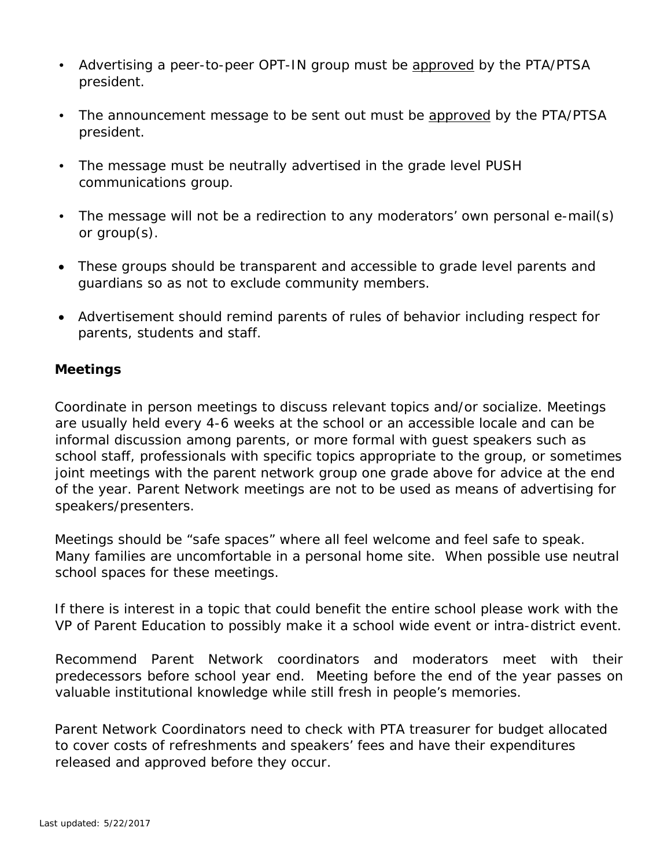- Advertising a peer-to-peer OPT-IN group must be approved by the PTA/PTSA president.
- The announcement message to be sent out must be approved by the PTA/PTSA president.
- The message must be neutrally advertised in the grade level PUSH communications group.
- The message will not be a redirection to any moderators' own personal e-mail(s) or group(s).
- These groups should be transparent and accessible to grade level parents and guardians so as not to exclude community members.
- Advertisement should remind parents of rules of behavior including respect for parents, students and staff.

## **Meetings**

Coordinate in person meetings to discuss relevant topics and/or socialize. Meetings are usually held every 4-6 weeks at the school or an accessible locale and can be informal discussion among parents, or more formal with guest speakers such as school staff, professionals with specific topics appropriate to the group, or sometimes joint meetings with the parent network group one grade above for advice at the end of the year. Parent Network meetings are not to be used as means of advertising for speakers/presenters.

Meetings should be "safe spaces" where all feel welcome and feel safe to speak. Many families are uncomfortable in a personal home site. When possible use neutral school spaces for these meetings.

If there is interest in a topic that could benefit the entire school please work with the VP of Parent Education to possibly make it a school wide event or intra-district event.

Recommend Parent Network coordinators and moderators meet with their predecessors before school year end. Meeting before the end of the year passes on valuable institutional knowledge while still fresh in people's memories.

Parent Network Coordinators need to check with PTA treasurer for budget allocated to cover costs of refreshments and speakers' fees and have their expenditures released and approved before they occur.